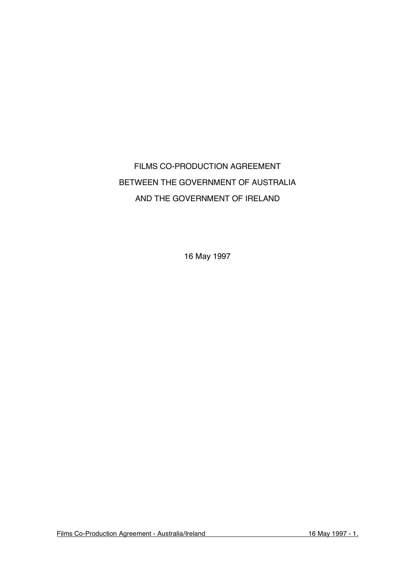# FILMS CO-PRODUCTION AGREEMENT BETWEEN THE GOVERNMENT OF AUSTRALIA AND THE GOVERNMENT OF IRELAND

16 May 1997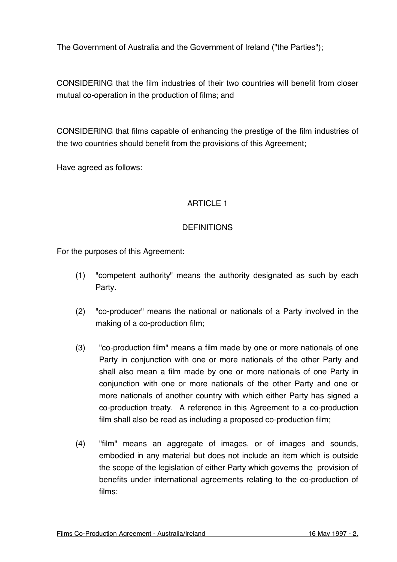The Government of Australia and the Government of Ireland ("the Parties");

CONSIDERING that the film industries of their two countries will benefit from closer mutual co-operation in the production of films; and

CONSIDERING that films capable of enhancing the prestige of the film industries of the two countries should benefit from the provisions of this Agreement;

Have agreed as follows:

# ARTICLE 1

#### **DEFINITIONS**

For the purposes of this Agreement:

- (1) "competent authority" means the authority designated as such by each Party.
- (2) "co-producer" means the national or nationals of a Party involved in the making of a co-production film;
- (3) "co-production film" means a film made by one or more nationals of one Party in conjunction with one or more nationals of the other Party and shall also mean a film made by one or more nationals of one Party in conjunction with one or more nationals of the other Party and one or more nationals of another country with which either Party has signed a co-production treaty. A reference in this Agreement to a co-production film shall also be read as including a proposed co-production film;
- (4) "film" means an aggregate of images, or of images and sounds, embodied in any material but does not include an item which is outside the scope of the legislation of either Party which governs the provision of benefits under international agreements relating to the co-production of films;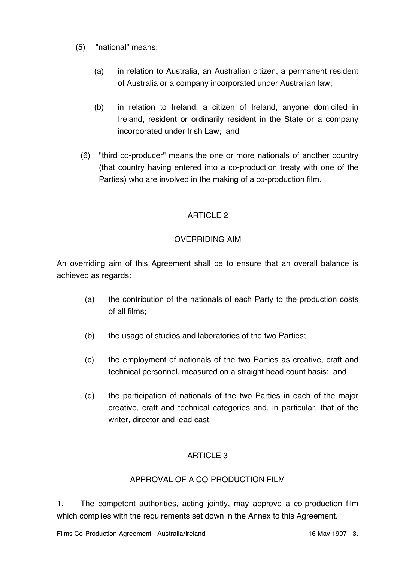- (5) "national" means:
	- (a) in relation to Australia, an Australian citizen, a permanent resident of Australia or a company incorporated under Australian law;
	- (b) in relation to Ireland, a citizen of Ireland, anyone domiciled in Ireland, resident or ordinarily resident in the State or a company incorporated under Irish Law; and
	- (6) "third co-producer" means the one or more nationals of another country (that country having entered into a co-production treaty with one of the Parties) who are involved in the making of a co-production film.

# OVERRIDING AIM

An overriding aim of this Agreement shall be to ensure that an overall balance is achieved as regards:

- (a) the contribution of the nationals of each Party to the production costs of all films;
- (b) the usage of studios and laboratories of the two Parties;
- (c) the employment of nationals of the two Parties as creative, craft and technical personnel, measured on a straight head count basis; and
- (d) the participation of nationals of the two Parties in each of the major creative, craft and technical categories and, in particular, that of the writer, director and lead cast.

# ARTICLE 3

# APPROVAL OF A CO-PRODUCTION FILM

1. The competent authorities, acting jointly, may approve a co-production film which complies with the requirements set down in the Annex to this Agreement.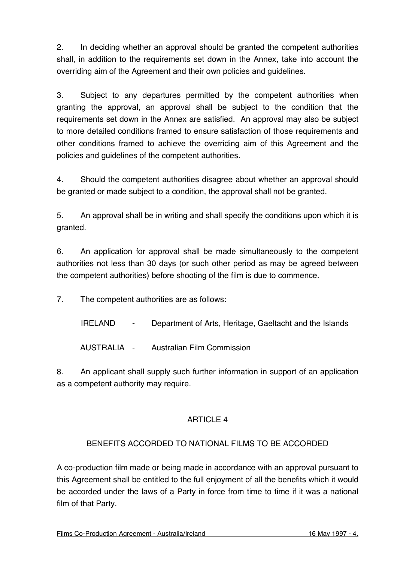2. In deciding whether an approval should be granted the competent authorities shall, in addition to the requirements set down in the Annex, take into account the overriding aim of the Agreement and their own policies and guidelines.

3. Subject to any departures permitted by the competent authorities when granting the approval, an approval shall be subject to the condition that the requirements set down in the Annex are satisfied. An approval may also be subject to more detailed conditions framed to ensure satisfaction of those requirements and other conditions framed to achieve the overriding aim of this Agreement and the policies and guidelines of the competent authorities.

4. Should the competent authorities disagree about whether an approval should be granted or made subject to a condition, the approval shall not be granted.

5. An approval shall be in writing and shall specify the conditions upon which it is granted.

6. An application for approval shall be made simultaneously to the competent authorities not less than 30 days (or such other period as may be agreed between the competent authorities) before shooting of the film is due to commence.

7. The competent authorities are as follows:

IRELAND - Department of Arts, Heritage, Gaeltacht and the Islands

AUSTRALIA - Australian Film Commission

8. An applicant shall supply such further information in support of an application as a competent authority may require.

# ARTICLE 4

# BENEFITS ACCORDED TO NATIONAL FILMS TO BE ACCORDED

A co-production film made or being made in accordance with an approval pursuant to this Agreement shall be entitled to the full enjoyment of all the benefits which it would be accorded under the laws of a Party in force from time to time if it was a national film of that Party.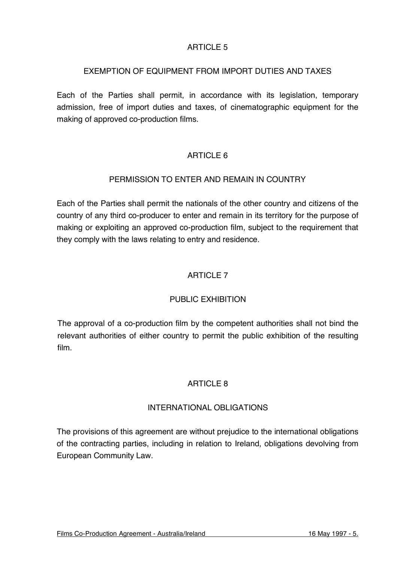#### EXEMPTION OF EQUIPMENT FROM IMPORT DUTIES AND TAXES

Each of the Parties shall permit, in accordance with its legislation, temporary admission, free of import duties and taxes, of cinematographic equipment for the making of approved co-production films.

# ARTICLE 6

#### PERMISSION TO ENTER AND REMAIN IN COUNTRY

Each of the Parties shall permit the nationals of the other country and citizens of the country of any third co-producer to enter and remain in its territory for the purpose of making or exploiting an approved co-production film, subject to the requirement that they comply with the laws relating to entry and residence.

# ARTICLE 7

# PUBLIC EXHIBITION

The approval of a co-production film by the competent authorities shall not bind the relevant authorities of either country to permit the public exhibition of the resulting film.

#### ARTICLE 8

#### INTERNATIONAL OBLIGATIONS

The provisions of this agreement are without prejudice to the international obligations of the contracting parties, including in relation to Ireland, obligations devolving from European Community Law.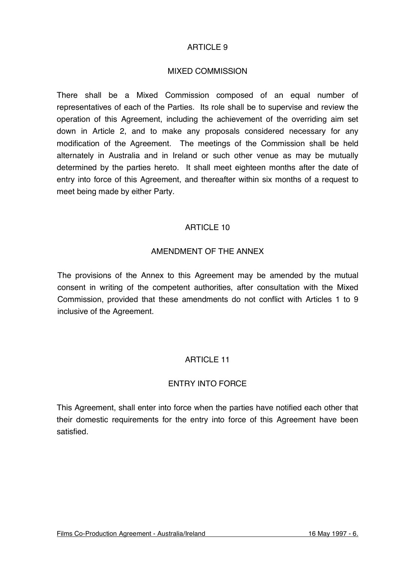#### MIXED COMMISSION

There shall be a Mixed Commission composed of an equal number of representatives of each of the Parties. Its role shall be to supervise and review the operation of this Agreement, including the achievement of the overriding aim set down in Article 2, and to make any proposals considered necessary for any modification of the Agreement. The meetings of the Commission shall be held alternately in Australia and in Ireland or such other venue as may be mutually determined by the parties hereto. It shall meet eighteen months after the date of entry into force of this Agreement, and thereafter within six months of a request to meet being made by either Party.

#### ARTICLE 10

#### AMENDMENT OF THE ANNEX

The provisions of the Annex to this Agreement may be amended by the mutual consent in writing of the competent authorities, after consultation with the Mixed Commission, provided that these amendments do not conflict with Articles 1 to 9 inclusive of the Agreement.

#### ARTICLE 11

#### ENTRY INTO FORCE

This Agreement, shall enter into force when the parties have notified each other that their domestic requirements for the entry into force of this Agreement have been satisfied.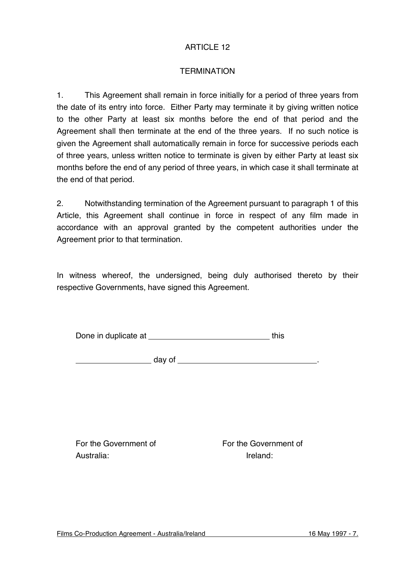#### **TERMINATION**

1. This Agreement shall remain in force initially for a period of three years from the date of its entry into force. Either Party may terminate it by giving written notice to the other Party at least six months before the end of that period and the Agreement shall then terminate at the end of the three years. If no such notice is given the Agreement shall automatically remain in force for successive periods each of three years, unless written notice to terminate is given by either Party at least six months before the end of any period of three years, in which case it shall terminate at the end of that period.

2. Notwithstanding termination of the Agreement pursuant to paragraph 1 of this Article, this Agreement shall continue in force in respect of any film made in accordance with an approval granted by the competent authorities under the Agreement prior to that termination.

In witness whereof, the undersigned, being duly authorised thereto by their respective Governments, have signed this Agreement.

| Done in duplicate at | this |
|----------------------|------|
|----------------------|------|

day of .

For the Government of For the Government of Australia: Ireland: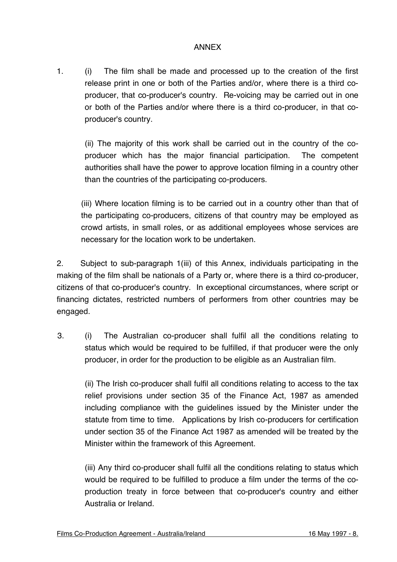#### ANNEX

1. (i) The film shall be made and processed up to the creation of the first release print in one or both of the Parties and/or, where there is a third coproducer, that co-producer's country. Re-voicing may be carried out in one or both of the Parties and/or where there is a third co-producer, in that coproducer's country.

(ii) The majority of this work shall be carried out in the country of the coproducer which has the major financial participation. The competent authorities shall have the power to approve location filming in a country other than the countries of the participating co-producers.

(iii) Where location filming is to be carried out in a country other than that of the participating co-producers, citizens of that country may be employed as crowd artists, in small roles, or as additional employees whose services are necessary for the location work to be undertaken.

2. Subject to sub-paragraph 1(iii) of this Annex, individuals participating in the making of the film shall be nationals of a Party or, where there is a third co-producer, citizens of that co-producer's country. In exceptional circumstances, where script or financing dictates, restricted numbers of performers from other countries may be engaged.

3. (i) The Australian co-producer shall fulfil all the conditions relating to status which would be required to be fulfilled, if that producer were the only producer, in order for the production to be eligible as an Australian film.

(ii) The Irish co-producer shall fulfil all conditions relating to access to the tax relief provisions under section 35 of the Finance Act, 1987 as amended including compliance with the guidelines issued by the Minister under the statute from time to time. Applications by Irish co-producers for certification under section 35 of the Finance Act 1987 as amended will be treated by the Minister within the framework of this Agreement.

(iii) Any third co-producer shall fulfil all the conditions relating to status which would be required to be fulfilled to produce a film under the terms of the coproduction treaty in force between that co-producer's country and either Australia or Ireland.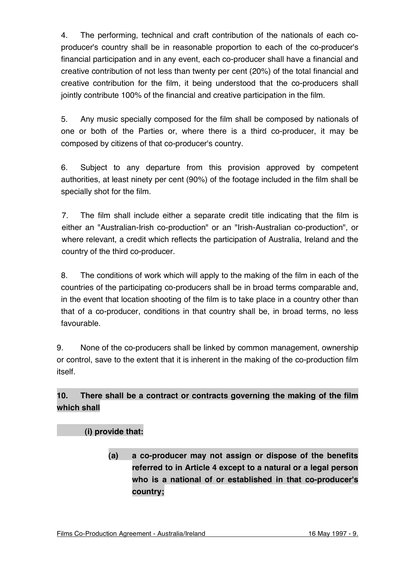4. The performing, technical and craft contribution of the nationals of each coproducer's country shall be in reasonable proportion to each of the co-producer's financial participation and in any event, each co-producer shall have a financial and creative contribution of not less than twenty per cent (20%) of the total financial and creative contribution for the film, it being understood that the co-producers shall jointly contribute 100% of the financial and creative participation in the film.

5. Any music specially composed for the film shall be composed by nationals of one or both of the Parties or, where there is a third co-producer, it may be composed by citizens of that co-producer's country.

6. Subject to any departure from this provision approved by competent authorities, at least ninety per cent (90%) of the footage included in the film shall be specially shot for the film.

7. The film shall include either a separate credit title indicating that the film is either an "Australian-Irish co-production" or an "Irish-Australian co-production", or where relevant, a credit which reflects the participation of Australia, Ireland and the country of the third co-producer.

8. The conditions of work which will apply to the making of the film in each of the countries of the participating co-producers shall be in broad terms comparable and, in the event that location shooting of the film is to take place in a country other than that of a co-producer, conditions in that country shall be, in broad terms, no less favourable.

9. None of the co-producers shall be linked by common management, ownership or control, save to the extent that it is inherent in the making of the co-production film itself.

# **10. There shall be a contract or contracts governing the making of the film which shall**

# **(i) provide that:**

**(a) a co-producer may not assign or dispose of the benefits referred to in Article 4 except to a natural or a legal person who is a national of or established in that co-producer's country;**